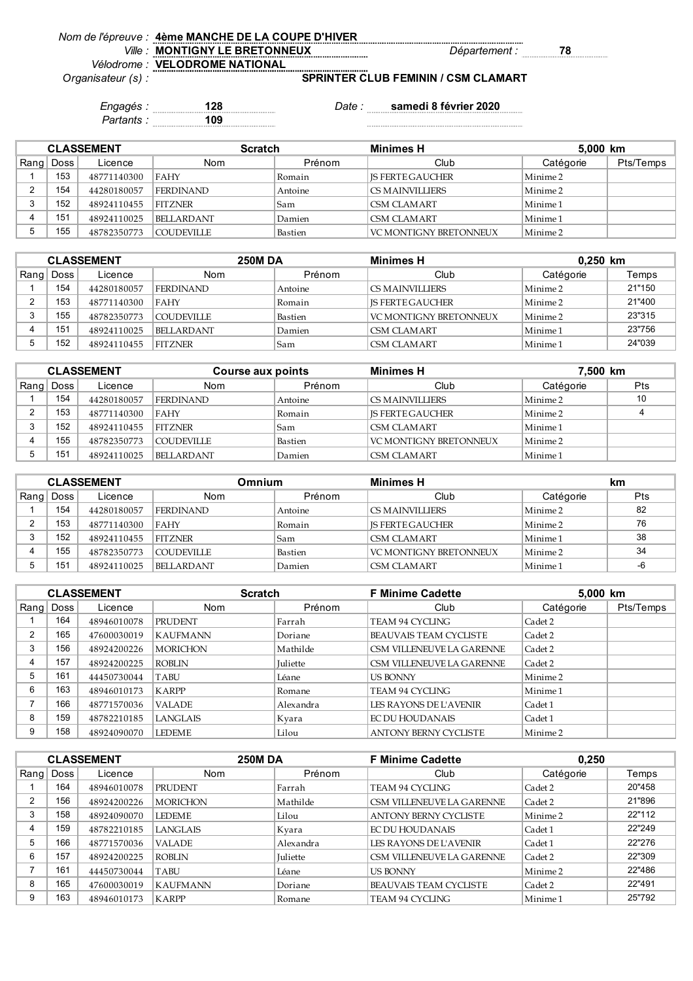|       | Nom de l'épreuve : 4ème MANCHE DE LA COUPE D'HIVER |                |  |
|-------|----------------------------------------------------|----------------|--|
| /ille | <b>MONTIGNY LE BRETONNEUX</b>                      | 'Jepartement . |  |
|       | Vélodrome : VELODROME NATIONAL                     |                |  |

*Vélodrome : Organisateur (s) :*

**SPRINTER CLUB FEMININ / CSM CLAMART**

*Engagés :* **128** *Date :* **samedi 8 février 2020** *Partants :* **109**

 $\label{eq:1}$  . The continuum continuum continuum continuum continuum continuum continuum continuum continuum continuum continuum continuum continuum continuum continuum continuum continuum continuum continuum continuum conti

| <b>CLASSEMENT</b> |      |             |                   | <b>Minimes H</b><br><b>Scratch</b> |                               |                     | 5,000 km  |  |
|-------------------|------|-------------|-------------------|------------------------------------|-------------------------------|---------------------|-----------|--|
| Rang              | Doss | Licence     | <b>Nom</b>        | Prénom                             | Club                          | Catégorie           | Pts/Temps |  |
|                   | 153  | 48771140300 | FAHY              | Romain                             | <b>IS FERTE GAUCHER</b>       | Minime <sub>2</sub> |           |  |
| 2                 | 154  | 44280180057 | <b>FERDINAND</b>  | Antoine                            | <b>CS MAINVILLIERS</b>        | Minime 2            |           |  |
| 3                 | 152  | 48924110455 | <b>FITZNER</b>    | 'Sam                               | CSM CLAMART                   | Minime <sub>1</sub> |           |  |
|                   | 151  | 48924110025 | <b>BELLARDANT</b> | Damien                             | ICSM CLAMART                  | Minime 1            |           |  |
| 5                 | 55   | 48782350773 | <b>COUDEVILLE</b> | Bastien                            | <b>VC MONTIGNY BRETONNEUX</b> | Minime <sub>2</sub> |           |  |

| <b>CLASSEMENT</b> |      |             | <b>250M DA</b>    |         | Minimes H               |                     | $0,250$ km |  |
|-------------------|------|-------------|-------------------|---------|-------------------------|---------------------|------------|--|
| Rang              | Doss | Licence     | <b>Nom</b>        | Prénom  | Club                    | Catégorie           | Temps      |  |
|                   | 154  | 44280180057 | <b>FERDINAND</b>  | Antoine | CS MAINVILLIERS         | Minime 2            | 21"150     |  |
|                   | 153  | 48771140300 | FAHY              | Romain  | <b>IS FERTE GAUCHER</b> | Minime 2            | 21"400     |  |
|                   | 155  | 48782350773 | COUDEVILLE        | Bastien | VC MONTIGNY BRETONNEUX  | Minime <sub>2</sub> | 23"315     |  |
|                   | 15٬  | 48924110025 | <b>BELLARDANT</b> | Damien  | CSM CLAMART             | Minime 1            | 23"756     |  |
|                   | 152  | 48924110455 | <b>FITZNER</b>    | Sam     | CSM CLAMART             | Minime 1            | 24"039     |  |

| <b>CLASSEMENT</b> |             |             | Course aux points |         | 7,500 km<br><b>Minimes H</b> |                     |     |
|-------------------|-------------|-------------|-------------------|---------|------------------------------|---------------------|-----|
|                   | Rang   Doss | Licence     | Nom               | Prénom  | Club                         | Catégorie           | Pts |
|                   | 154         | 44280180057 | <b>FERDINAND</b>  | Antoine | <b>CS MAINVILLIERS</b>       | Minime 2            | 10  |
|                   | 153         | 48771140300 | FAHY              | Romain  | <b>IS FERTE GAUCHER</b>      | Minime <sub>2</sub> |     |
|                   | 152         | 48924110455 | <b>FITZNER</b>    | Sam     | ICSM CLAMART                 | Minime 1            |     |
|                   | 155         | 48782350773 | <b>COUDEVILLE</b> | Bastien | VC MONTIGNY BRETONNEUX       | Minime 2            |     |
|                   | 151         | 48924110025 | <b>BELLARDANT</b> | Damien  | <b>CSM CLAMART</b>           | Minime 1            |     |

| <b>CLASSEMENT</b> |             |             | Omnium           |         | <b>Minimes H</b>              |                     | km  |
|-------------------|-------------|-------------|------------------|---------|-------------------------------|---------------------|-----|
|                   | Rang   Doss | Licence     | <b>Nom</b>       | Prénom  | Club                          | Catégorie           | Pts |
|                   | 154         | 44280180057 | <b>FERDINAND</b> | Antoine | CS MAINVILLIERS               | Minime <sub>2</sub> | 82  |
|                   | 153         | 48771140300 | <b>FAHY</b>      | Romain  | <b>IS FERTE GAUCHER</b>       | Minime 2            | 76  |
|                   | 152         | 48924110455 | <b>FITZNER</b>   | Sam     | <b>CSM CLAMART</b>            | Minime 1            | 38  |
|                   | 155         | 48782350773 | COUDEVILLE_      | Bastien | <b>VC MONTIGNY BRETONNEUX</b> | Minime 2            | 34  |
|                   | 151         | 48924110025 | BELLARDANT       | Damien  | <b>CSM CLAMART</b>            | Minime 1            | -6  |

|      | <b>CLASSEMENT</b> |             | <b>Scratch</b>  |           | <b>F Minime Cadette</b>       | 5,000 km            |           |
|------|-------------------|-------------|-----------------|-----------|-------------------------------|---------------------|-----------|
| Rang | Doss              | Licence     | <b>Nom</b>      | Prénom    | Club                          | Catégorie           | Pts/Temps |
|      | 164               | 48946010078 | <b>PRUDENT</b>  | Farrah    | TEAM 94 CYCLING               | Cadet 2             |           |
| 2    | 165               | 47600030019 | <b>KAUFMANN</b> | Doriane   | <b>BEAUVAIS TEAM CYCLISTE</b> | Cadet 2             |           |
| 3    | 156               | 48924200226 | <b>MORICHON</b> | Mathilde  | CSM VILLENEUVE LA GARENNE     | Cadet 2             |           |
| 4    | 157               | 48924200225 | <b>ROBLIN</b>   | Juliette  | CSM VILLENEUVE LA GARENNE     | Cadet 2             |           |
| 5    | 161               | 44450730044 | TABU            | Léane     | <b>US BONNY</b>               | Minime <sub>2</sub> |           |
| 6    | 163               | 48946010173 | <b>KARPP</b>    | Romane    | TEAM 94 CYCLING               | Minime 1            |           |
|      | 166               | 48771570036 | <b>VALADE</b>   | Alexandra | LES RAYONS DE L'AVENIR        | Cadet 1             |           |
| 8    | 159               | 48782210185 | <b>LANGLAIS</b> | Kvara     | <b>EC DU HOUDANAIS</b>        | Cadet 1             |           |
| 9    | 158               | 48924090070 | <b>LEDEME</b>   | Lilou     | <b>ANTONY BERNY CYCLISTE</b>  | Minime <sub>2</sub> |           |

| <b>CLASSEMENT</b> |      | <b>250M DA</b> |                 | <b>F Minime Cadette</b> | 0,250                         |                     |        |
|-------------------|------|----------------|-----------------|-------------------------|-------------------------------|---------------------|--------|
| Rang              | Doss | Licence        | Nom             | Prénom                  | Club                          | Catégorie           | Temps  |
|                   | 164  | 48946010078    | <b>PRUDENT</b>  | Farrah                  | TEAM 94 CYCLING               | Cadet 2             | 20"458 |
| າ                 | 156  | 48924200226    | <b>MORICHON</b> | Mathilde                | CSM VILLENEUVE LA GARENNE     | Cadet 2             | 21"896 |
| 3                 | 158  | 48924090070    | <b>LEDEME</b>   | Lilou                   | <b>ANTONY BERNY CYCLISTE</b>  | Minime <sub>2</sub> | 22"112 |
| 4                 | 159  | 48782210185    | <b>LANGLAIS</b> | Kvara                   | EC DU HOUDANAIS               | Cadet 1             | 22"249 |
| 5                 | 166  | 48771570036    | <b>VALADE</b>   | Alexandra               | LES RAYONS DE L'AVENIR        | Cadet 1             | 22"276 |
| 6                 | 157  | 48924200225    | ROBLIN          | Juliette                | CSM VILLENEUVE LA GARENNE     | Cadet 2             | 22"309 |
|                   | 161  | 44450730044    | <b>TABU</b>     | Léane                   | <b>US BONNY</b>               | Minime 2            | 22"486 |
| 8                 | 165  | 47600030019    | <b>KAUFMANN</b> | Doriane                 | <b>BEAUVAIS TEAM CYCLISTE</b> | Cadet 2             | 22"491 |
| 9                 | 163  | 48946010173    | <b>KARPP</b>    | Romane                  | TEAM 94 CYCLING               | Minime 1            | 25"792 |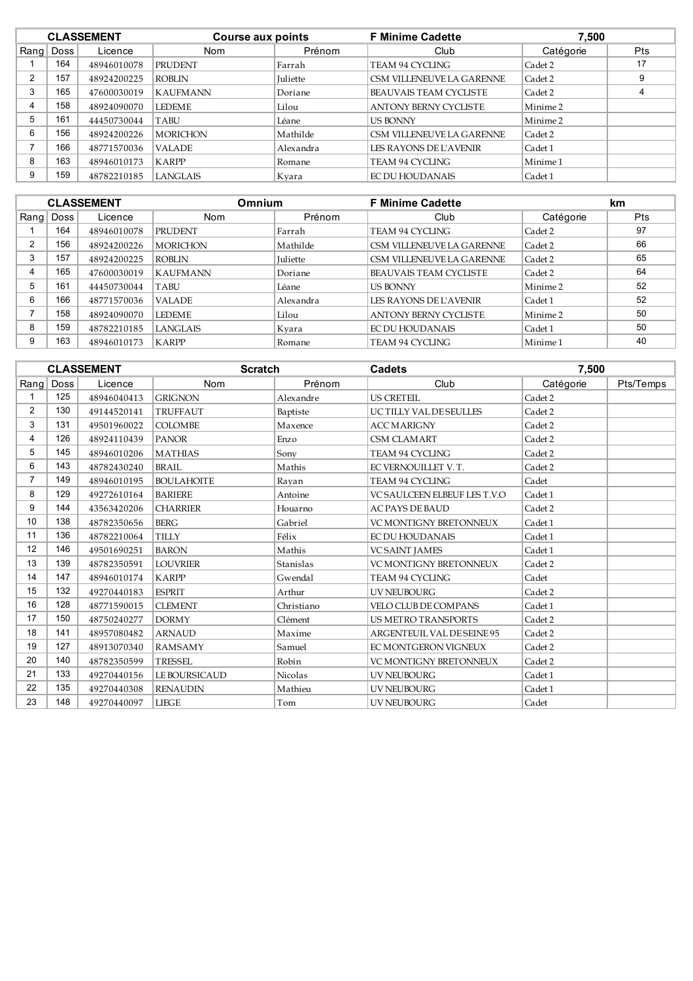|         | <b>CLASSEMENT</b> |             | Course aux points |                 | <b>F Minime Cadette</b><br>7,500 |                     |            |
|---------|-------------------|-------------|-------------------|-----------------|----------------------------------|---------------------|------------|
| $R$ ang | Doss              | Licence     | <b>Nom</b>        | Prénom          | Club                             | Catégorie           | <b>Pts</b> |
|         | 164               | 48946010078 | <b>PRUDENT</b>    | Farrah          | TEAM 94 CYCLING                  | Cadet 2             | 17         |
| 2       | 157               | 48924200225 | <b>ROBLIN</b>     | <b>Iuliette</b> | CSM VILLENEUVE LA GARENNE        | Cadet 2             | 9          |
| 3       | 165               | 47600030019 | <b>KAUFMANN</b>   | Doriane         | BEAUVAIS TEAM CYCLISTE           | Cadet 2             |            |
| 4       | 158               | 48924090070 | <b>LEDEME</b>     | Lilou           | <b>ANTONY BERNY CYCLISTE</b>     | Minime 2            |            |
| 5       | 161               | 44450730044 | TABU              | Léane           | <b>US BONNY</b>                  | Minime <sub>2</sub> |            |
| 6       | 156               | 48924200226 | <b>MORICHON</b>   | Mathilde        | CSM VILLENEUVE LA GARENNE        | Cadet 2             |            |
|         | 166               | 48771570036 | <b>VALADE</b>     | Alexandra       | LES RAYONS DE L'AVENIR           | Cadet 1             |            |
| 8       | 163               | 48946010173 | <b>KARPP</b>      | ∣Romane         | TEAM 94 CYCLING                  | Minime 1            |            |
| 9       | 159               | 48782210185 | <b>LANGLAIS</b>   | Kvara           | EC DU HOUDANAIS                  | Cadet 1             |            |

|   |             | <b>CLASSEMENT</b> |                 | <b>F Minime Cadette</b><br><b>Omnium</b> |                               | km                  |     |
|---|-------------|-------------------|-----------------|------------------------------------------|-------------------------------|---------------------|-----|
|   | Rang   Doss | Licence           | <b>Nom</b>      | Prénom                                   | Club                          | Catégorie           | Pts |
|   | 164         | 48946010078       | <b>PRUDENT</b>  | Farrah                                   | TEAM 94 CYCLING               | Cadet 2             | 97  |
| 2 | 156         | 48924200226       | <b>MORICHON</b> | Mathilde                                 | CSM VILLENEUVE LA GARENNE     | Cadet 2             | 66  |
|   | 157         | 48924200225       | ROBLIN          | Juliette                                 | CSM VILLENEUVE LA GARENNE     | Cadet 2             | 65  |
|   | 165         | 47600030019       | <b>KAUFMANN</b> | Doriane                                  | <b>BEAUVAIS TEAM CYCLISTE</b> | Cadet 2             | 64  |
| 5 | 161         | 44450730044       | TABU            | Léane                                    | <b>US BONNY</b>               | Minime <sub>2</sub> | 52  |
| 6 | 166         | 48771570036       | <b>VALADE</b>   | Alexandra                                | LES RAYONS DE L'AVENIR        | Cadet 1             | 52  |
|   | 158         | 48924090070       | <b>LEDEME</b>   | Lilou                                    | <b>ANTONY BERNY CYCLISTE</b>  | Minime <sub>2</sub> | 50  |
| 8 | 159         | 48782210185       | LANGLAIS        | Kvara                                    | <b>EC DU HOUDANAIS</b>        | Cadet 1             | 50  |
| 9 | 163         | 48946010173       | <b>KARPP</b>    | Romane                                   | TEAM 94 CYCLING               | Minime 1            | 40  |

|                |      | <b>CLASSEMENT</b> | <b>Scratch</b>    |            | <b>Cadets</b>                       | 7,500     |           |
|----------------|------|-------------------|-------------------|------------|-------------------------------------|-----------|-----------|
| Rang           | Doss | Licence           | Nom               | Prénom     | Club                                | Catégorie | Pts/Temps |
|                | 125  | 48946040413       | <b>GRIGNON</b>    | Alexandre  | <b>US CRETEIL</b>                   | Cadet 2   |           |
| $\overline{2}$ | 130  | 49144520141       | <b>TRUFFAUT</b>   | Baptiste   | UC TILLY VAL DESEULLES              | Cadet 2   |           |
| 3              | 131  | 49501960022       | <b>COLOMBE</b>    | Maxence    | <b>ACC MARIGNY</b>                  | Cadet 2   |           |
| 4              | 126  | 48924110439       | <b>PANOR</b>      | Enzo       | <b>CSM CLAMART</b>                  | Cadet 2   |           |
| 5              | 145  | 48946010206       | <b>MATHIAS</b>    | Sony       | <b>TEAM 94 CYCLING</b>              | Cadet 2   |           |
| 6              | 143  | 48782430240       | <b>BRAIL</b>      | Mathis     | EC VERNOUILLET V.T.                 | Cadet 2   |           |
| $\overline{7}$ | 149  | 48946010195       | <b>BOULAHOITE</b> | Rayan      | <b>TEAM 94 CYCLING</b>              | Cadet     |           |
| 8              | 129  | 49272610164       | <b>BARIERE</b>    | Antoine    | <b>VC SAULCEEN ELBEUF LES T.V.O</b> | Cadet 1   |           |
| 9              | 144  | 43563420206       | <b>CHARRIER</b>   | Houarno    | <b>AC PAYS DE BAUD</b>              | Cadet 2   |           |
| 10             | 138  | 48782350656       | <b>BERG</b>       | Gabriel    | <b>VC MONTIGNY BRETONNEUX</b>       | Cadet 1   |           |
| 11             | 136  | 48782210064       | <b>TILLY</b>      | Félix      | <b>EC DU HOUDANAIS</b>              | Cadet 1   |           |
| 12             | 146  | 49501690251       | <b>BARON</b>      | Mathis     | <b>VCSAINT JAMES</b>                | Cadet 1   |           |
| 13             | 139  | 48782350591       | <b>LOUVRIER</b>   | Stanislas  | <b>VC MONTIGNY BRETONNEUX</b>       | Cadet 2   |           |
| 14             | 147  | 48946010174       | <b>KARPP</b>      | Gwendal    | <b>TEAM 94 CYCLING</b>              | Cadet     |           |
| 15             | 132  | 49270440183       | <b>ESPRIT</b>     | Arthur     | <b>UV NEUBOURG</b>                  | Cadet 2   |           |
| 16             | 128  | 48771590015       | <b>CLEMENT</b>    | Christiano | VELO CLUB DE COMPANS                | Cadet 1   |           |
| 17             | 150  | 48750240277       | <b>DORMY</b>      | Clément    | <b>US METRO TRANSPORTS</b>          | Cadet 2   |           |
| 18             | 141  | 48957080482       | <b>ARNAUD</b>     | Maxime     | ARGENTEUIL VAL DE SEINE 95          | Cadet 2   |           |
| 19             | 127  | 48913070340       | <b>RAMSAMY</b>    | Samuel     | EC MONTGERON VIGNEUX                | Cadet 2   |           |
| 20             | 140  | 48782350599       | <b>TRESSEL</b>    | Robin      | <b>VC MONTIGNY BRETONNEUX</b>       | Cadet 2   |           |
| 21             | 133  | 49270440156       | LE BOURSICAUD     | Nicolas    | UV NEUBOURG                         | Cadet 1   |           |
| 22             | 135  | 49270440308       | <b>RENAUDIN</b>   | Mathieu    | UV NEUBOURG                         | Cadet 1   |           |
| 23             | 148  | 49270440097       | <b>LIEGE</b>      | Tom        | <b>UV NEUBOURG</b>                  | Cadet     |           |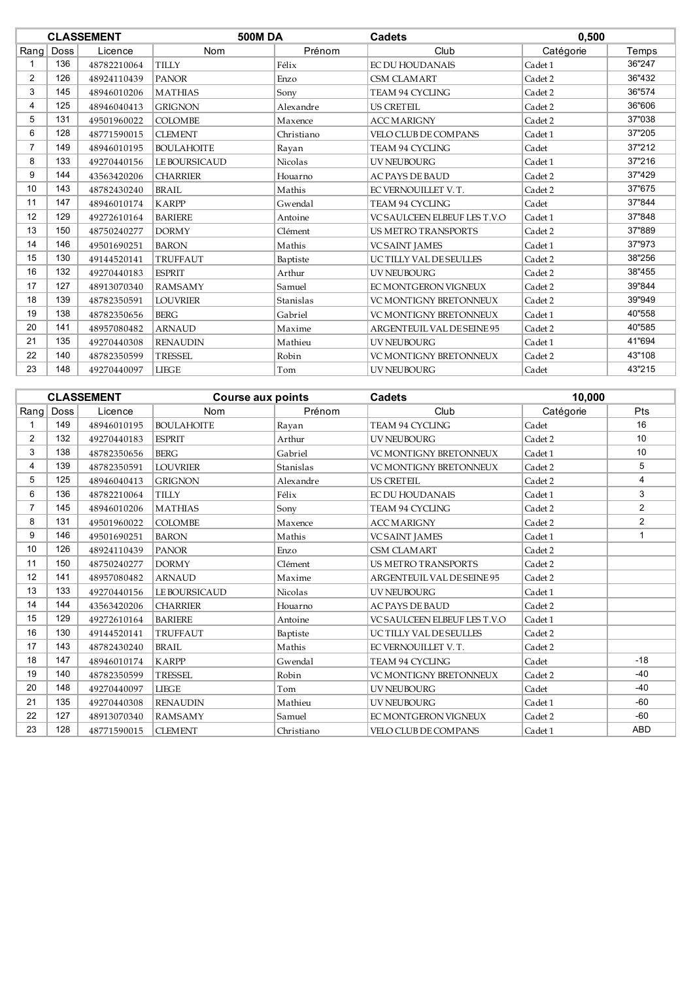|                |             | <b>CLASSEMENT</b> | <b>500MDA</b>     |                | <b>Cadets</b>                       | 0,500     |        |
|----------------|-------------|-------------------|-------------------|----------------|-------------------------------------|-----------|--------|
| Rang           | <b>Doss</b> | Licence           | <b>Nom</b>        | Prénom         | Club                                | Catégorie | Temps  |
|                | 136         | 48782210064       | <b>TILLY</b>      | Félix          | <b>EC DU HOUDANAIS</b>              | Cadet 1   | 36"247 |
| $\overline{2}$ | 126         | 48924110439       | <b>PANOR</b>      | Enzo           | <b>CSM CLAMART</b>                  | Cadet 2   | 36"432 |
| 3              | 145         | 48946010206       | <b>MATHIAS</b>    | Sony           | <b>TEAM 94 CYCLING</b>              | Cadet 2   | 36"574 |
| 4              | 125         | 48946040413       | <b>GRIGNON</b>    | Alexandre      | <b>US CRETEIL</b>                   | Cadet 2   | 36"606 |
| 5              | 131         | 49501960022       | <b>COLOMBE</b>    | Maxence        | <b>ACC MARIGNY</b>                  | Cadet 2   | 37"038 |
| 6              | 128         | 48771590015       | <b>CLEMENT</b>    | Christiano     | <b>VELO CLUB DE COMPANS</b>         | Cadet 1   | 37"205 |
| $\overline{7}$ | 149         | 48946010195       | <b>BOULAHOITE</b> | Rayan          | <b>TEAM 94 CYCLING</b>              | Cadet     | 37"212 |
| 8              | 133         | 49270440156       | LE BOURSICAUD     | <b>Nicolas</b> | <b>UV NEUBOURG</b>                  | Cadet 1   | 37"216 |
| 9              | 144         | 43563420206       | <b>CHARRIER</b>   | Houarno        | <b>AC PAYS DE BAUD</b>              | Cadet 2   | 37"429 |
| 10             | 143         | 48782430240       | <b>BRAIL</b>      | Mathis         | EC VERNOUILLET V.T.                 | Cadet 2   | 37"675 |
| 11             | 147         | 48946010174       | <b>KARPP</b>      | Gwendal        | <b>TEAM 94 CYCLING</b>              | Cadet     | 37"844 |
| 12             | 129         | 49272610164       | <b>BARIERE</b>    | Antoine        | <b>VC SAULCEEN ELBEUF LES T.V.O</b> | Cadet 1   | 37"848 |
| 13             | 150         | 48750240277       | <b>DORMY</b>      | Clément        | <b>US METRO TRANSPORTS</b>          | Cadet 2   | 37"889 |
| 14             | 146         | 49501690251       | <b>BARON</b>      | Mathis         | <b>VCSAINT JAMES</b>                | Cadet 1   | 37"973 |
| 15             | 130         | 49144520141       | <b>TRUFFAUT</b>   | Baptiste       | UCTILLY VAL DESEULLES               | Cadet 2   | 38"256 |
| 16             | 132         | 49270440183       | <b>ESPRIT</b>     | Arthur         | <b>UV NEUBOURG</b>                  | Cadet 2   | 38"455 |
| 17             | 127         | 48913070340       | <b>RAMSAMY</b>    | Samuel         | EC MONTGERON VIGNEUX                | Cadet 2   | 39"844 |
| 18             | 139         | 48782350591       | <b>LOUVRIER</b>   | Stanislas      | <b>VC MONTIGNY BRETONNEUX</b>       | Cadet 2   | 39"949 |
| 19             | 138         | 48782350656       | <b>BERG</b>       | Gabriel        | <b>VC MONTIGNY BRETONNEUX</b>       | Cadet 1   | 40"558 |
| 20             | 141         | 48957080482       | <b>ARNAUD</b>     | Maxime         | ARGENTEUIL VAL DE SEINE 95          | Cadet 2   | 40"585 |
| 21             | 135         | 49270440308       | <b>RENAUDIN</b>   | Mathieu        | <b>UV NEUBOURG</b>                  | Cadet 1   | 41"694 |
| 22             | 140         | 48782350599       | <b>TRESSEL</b>    | Robin          | <b>VC MONTIGNY BRETONNEUX</b>       | Cadet 2   | 43"108 |
| 23             | 148         | 49270440097       | <b>LIEGE</b>      | Tom            | UV NEUBOURG                         | Cadet     | 43"215 |

|                |             | <b>CLASSEMENT</b> | <b>Course aux points</b> |                | <b>Cadets</b>                       | 10,000    |                |
|----------------|-------------|-------------------|--------------------------|----------------|-------------------------------------|-----------|----------------|
| Rang           | <b>Doss</b> | Licence           | Nom                      | Prénom         | Club                                | Catégorie | Pts            |
|                | 149         | 48946010195       | <b>BOULAHOITE</b>        | Rayan          | TEAM 94 CYCLING                     | Cadet     | 16             |
| $\overline{2}$ | 132         | 49270440183       | <b>ESPRIT</b>            | Arthur         | UV NEUBOURG                         | Cadet 2   | 10             |
| 3              | 138         | 48782350656       | <b>BERG</b>              | Gabriel        | <b>VC MONTIGNY BRETONNEUX</b>       | Cadet 1   | 10             |
| $\overline{4}$ | 139         | 48782350591       | <b>LOUVRIER</b>          | Stanislas      | VC MONTIGNY BRETONNEUX              | Cadet 2   | 5              |
| 5              | 125         | 48946040413       | <b>GRIGNON</b>           | Alexandre      | <b>US CRETEIL</b>                   | Cadet 2   | 4              |
| 6              | 136         | 48782210064       | <b>TILLY</b>             | Félix          | <b>EC DU HOUDANAIS</b>              | Cadet 1   | 3              |
| $\overline{7}$ | 145         | 48946010206       | <b>MATHIAS</b>           | Sony           | TEAM 94 CYCLING                     | Cadet 2   | $\overline{2}$ |
| 8              | 131         | 49501960022       | <b>COLOMBE</b>           | Maxence        | <b>ACC MARIGNY</b>                  | Cadet 2   | $\overline{2}$ |
| 9              | 146         | 49501690251       | <b>BARON</b>             | Mathis         | <b>VCSAINT JAMES</b>                | Cadet 1   | 1              |
| 10             | 126         | 48924110439       | <b>PANOR</b>             | Enzo           | <b>CSM CLAMART</b>                  | Cadet 2   |                |
| 11             | 150         | 48750240277       | <b>DORMY</b>             | Clément        | <b>US METRO TRANSPORTS</b>          | Cadet 2   |                |
| 12             | 141         | 48957080482       | <b>ARNAUD</b>            | Maxime         | ARGENTEUIL VAL DE SEINE 95          | Cadet 2   |                |
| 13             | 133         | 49270440156       | LE BOURSICAUD            | <b>Nicolas</b> | <b>UV NEUBOURG</b>                  | Cadet 1   |                |
| 14             | 144         | 43563420206       | <b>CHARRIER</b>          | Houarno        | <b>AC PAYS DE BAUD</b>              | Cadet 2   |                |
| 15             | 129         | 49272610164       | <b>BARIERE</b>           | Antoine        | <b>VC SAULCEEN ELBEUF LES T.V.O</b> | Cadet 1   |                |
| 16             | 130         | 49144520141       | <b>TRUFFAUT</b>          | Baptiste       | UC TILLY VAL DESEULLES              | Cadet 2   |                |
| 17             | 143         | 48782430240       | <b>BRAIL</b>             | Mathis         | EC VERNOUILLET V.T.                 | Cadet 2   |                |
| 18             | 147         | 48946010174       | <b>KARPP</b>             | Gwendal        | <b>TEAM 94 CYCLING</b>              | Cadet     | $-18$          |
| 19             | 140         | 48782350599       | <b>TRESSEL</b>           | Robin          | <b>VC MONTIGNY BRETONNEUX</b>       | Cadet 2   | $-40$          |
| 20             | 148         | 49270440097       | <b>LIEGE</b>             | Tom            | <b>UV NEUBOURG</b>                  | Cadet     | $-40$          |
| 21             | 135         | 49270440308       | <b>RENAUDIN</b>          | Mathieu        | <b>UV NEUBOURG</b>                  | Cadet 1   | $-60$          |
| 22             | 127         | 48913070340       | <b>RAMSAMY</b>           | Samuel         | EC MONTGERON VIGNEUX                | Cadet 2   | $-60$          |
| 23             | 128         | 48771590015       | <b>CLEMENT</b>           | Christiano     | <b>VELO CLUB DE COMPANS</b>         | Cadet 1   | <b>ABD</b>     |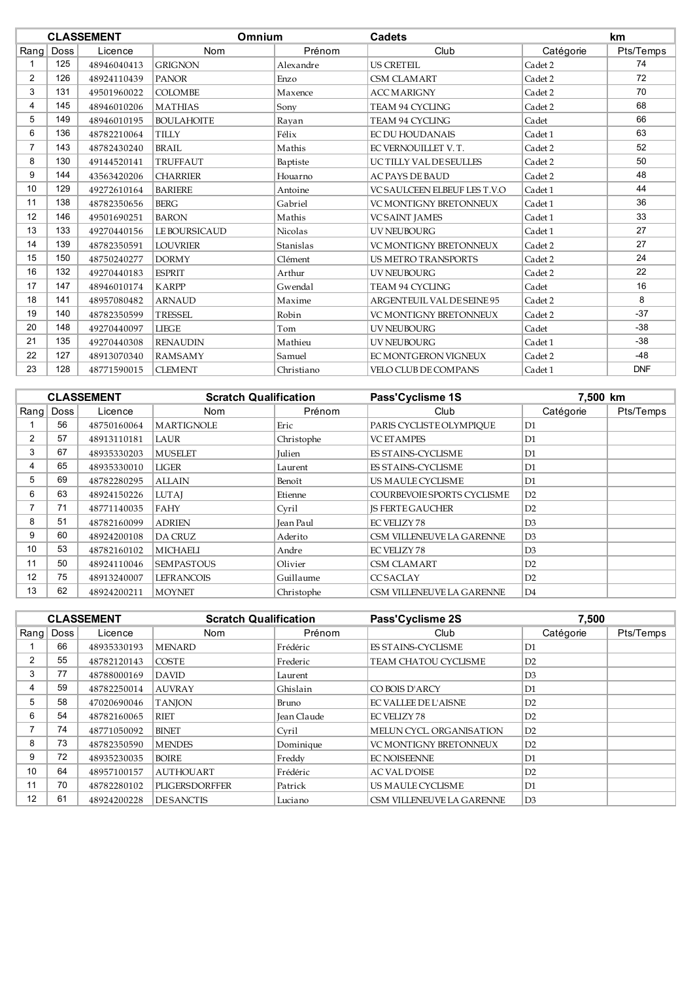|                |             | <b>CLASSEMENT</b> | Omnium            |            | <b>Cadets</b>                 |           | km         |  |
|----------------|-------------|-------------------|-------------------|------------|-------------------------------|-----------|------------|--|
| Rang           | <b>Doss</b> | Licence           | Nom               | Prénom     | Club                          | Catégorie | Pts/Temps  |  |
|                | 125         | 48946040413       | <b>GRIGNON</b>    | Alexandre  | <b>US CRETEIL</b>             | Cadet 2   | 74         |  |
| $\overline{2}$ | 126         | 48924110439       | <b>PANOR</b>      | Enzo       | <b>CSM CLAMART</b>            | Cadet 2   | 72         |  |
| 3              | 131         | 49501960022       | <b>COLOMBE</b>    | Maxence    | <b>ACC MARIGNY</b>            | Cadet 2   | 70         |  |
| 4              | 145         | 48946010206       | <b>MATHIAS</b>    | Sony       | <b>TEAM 94 CYCLING</b>        | Cadet 2   | 68         |  |
| 5              | 149         | 48946010195       | <b>BOULAHOITE</b> | Rayan      | <b>TEAM 94 CYCLING</b>        | Cadet     | 66         |  |
| 6              | 136         | 48782210064       | <b>TILLY</b>      | Félix      | EC DU HOUDANAIS               | Cadet 1   | 63         |  |
| 7              | 143         | 48782430240       | <b>BRAIL</b>      | Mathis     | EC VERNOUILLET V.T.           | Cadet 2   | 52         |  |
| 8              | 130         | 49144520141       | TRUFFAUT          | Baptiste   | <b>UCTILLY VAL DESEULLES</b>  | Cadet 2   | 50         |  |
| 9              | 144         | 43563420206       | <b>CHARRIER</b>   | Houarno    | <b>AC PAYS DE BAUD</b>        | Cadet 2   | 48         |  |
| 10             | 129         | 49272610164       | <b>BARIERE</b>    | Antoine    | VC SAULCEEN ELBEUF LES T.V.O  | Cadet 1   | 44         |  |
| 11             | 138         | 48782350656       | <b>BERG</b>       | Gabriel    | <b>VC MONTIGNY BRETONNEUX</b> | Cadet 1   | 36         |  |
| 12             | 146         | 49501690251       | <b>BARON</b>      | Mathis     | VCSAINT JAMES                 | Cadet 1   | 33         |  |
| 13             | 133         | 49270440156       | LE BOURSICAUD     | Nicolas    | <b>UV NEUBOURG</b>            | Cadet 1   | 27         |  |
| 14             | 139         | 48782350591       | <b>LOUVRIER</b>   | Stanislas  | <b>VC MONTIGNY BRETONNEUX</b> | Cadet 2   | 27         |  |
| 15             | 150         | 48750240277       | <b>DORMY</b>      | Clément    | <b>US METRO TRANSPORTS</b>    | Cadet 2   | 24         |  |
| 16             | 132         | 49270440183       | <b>FSPRIT</b>     | Arthur     | <b>UV NEUBOURG</b>            | Cadet 2   | 22         |  |
| 17             | 147         | 48946010174       | <b>KARPP</b>      | Gwendal    | TEAM 94 CYCLING               | Cadet     | 16         |  |
| 18             | 141         | 48957080482       | <b>ARNAUD</b>     | Maxime     | ARGENTEUIL VAL DE SEINE 95    | Cadet 2   | 8          |  |
| 19             | 140         | 48782350599       | <b>TRESSEL</b>    | Robin      | VC MONTIGNY BRETONNEUX        | Cadet 2   | $-37$      |  |
| 20             | 148         | 49270440097       | <b>LIEGE</b>      | Tom        | <b>UV NEUBOURG</b>            | Cadet     | $-38$      |  |
| 21             | 135         | 49270440308       | <b>RENAUDIN</b>   | Mathieu    | <b>UV NEUBOURG</b>            | Cadet 1   | $-38$      |  |
| 22             | 127         | 48913070340       | <b>RAMSAMY</b>    | Samuel     | EC MONTGERON VIGNEUX          | Cadet 2   | -48        |  |
| 23             | 128         | 48771590015       | <b>CLEMENT</b>    | Christiano | <b>VELO CLUB DE COMPANS</b>   | Cadet 1   | <b>DNF</b> |  |

|                | <b>CLASSEMENT</b> |             | <b>Scratch Qualification</b> |               | Pass'Cyclisme 1S           | 7,500 km       |           |
|----------------|-------------------|-------------|------------------------------|---------------|----------------------------|----------------|-----------|
|                | Rang Doss         | Licence     | <b>Nom</b>                   | Prénom        | Club                       | Catégorie      | Pts/Temps |
|                | 56                | 48750160064 | <b>MARTIGNOLE</b>            | Eric          | PARIS CYCLISTE OLYMPIOUE   | D1             |           |
| $\overline{2}$ | 57                | 48913110181 | LAUR                         | Christophe    | <b>VC ET AMPES</b>         | D1             |           |
| 3              | 67                | 48935330203 | <b>MUSELET</b>               | <b>Julien</b> | <b>ES STAINS-CYCLISME</b>  | D <sub>1</sub> |           |
| 4              | 65                | 48935330010 | LIGER                        | Laurent       | ES STAINS-CYCLISME         | D <sub>1</sub> |           |
| 5              | 69                | 48782280295 | <b>ALLAIN</b>                | Benoît        | US MAULE CYCLISME          | D <sub>1</sub> |           |
| 6              | 63                | 48924150226 | <b>LUTAI</b>                 | Etienne       | COURBEVOIE SPORTS CYCLISME | D2             |           |
|                | 71                | 48771140035 | FAHY                         | Cyril         | <b>IS FERTE GAUCHER</b>    | D2             |           |
| 8              | 51                | 48782160099 | <b>ADRIEN</b>                | Jean Paul     | EC VELIZY 78               | D <sub>3</sub> |           |
| 9              | 60                | 48924200108 | DA CRUZ                      | Aderito       | CSM VILLENEUVE LA GARENNE  | D <sub>3</sub> |           |
| 10             | 53                | 48782160102 | MICHAELI                     | Andre         | EC VELIZY 78               | D <sub>3</sub> |           |
| 11             | 50                | 48924110046 | <b>SEMPASTOUS</b>            | Olivier       | <b>CSM CLAMART</b>         | D2             |           |
| 12             | 75                | 48913240007 | <b>LEFRANCOIS</b>            | Guillaume     | <b>CCSACLAY</b>            | D2             |           |
| 13             | 62                | 48924200211 | <b>MOYNET</b>                | Christophe    | CSM VILLENEUVE LA GARENNE  | D <sub>4</sub> |           |

|      |      | <b>CLASSEMENT</b> | <b>Scratch Qualification</b> |             | Pass'Cyclisme 2S              | 7.500          |           |
|------|------|-------------------|------------------------------|-------------|-------------------------------|----------------|-----------|
| Rang | Doss | Licence           | <b>Nom</b>                   | Prénom      | Club                          | Catégorie      | Pts/Temps |
|      | 66   | 48935330193       | <b>MENARD</b>                | Frédéric    | <b>ES STAINS-CYCLISME</b>     | D1             |           |
| 2    | 55   | 48782120143       | <b>COSTE</b>                 | Frederic    | TEAM CHATOU CYCLISME          | D2             |           |
| 3    | 77   | 48788000169       | DAVID                        | Laurent     |                               | D <sub>3</sub> |           |
| 4    | 59   | 48782250014       | <b>AUVRAY</b>                | Ghislain    | CO BOIS D'ARCY                | D1             |           |
| 5    | 58   | 47020690046       | <b>TANION</b>                | Bruno       | <b>EC VALLEE DE L'AISNE</b>   | D2             |           |
| 6    | 54   | 48782160065       | <b>RIET</b>                  | Jean Claude | <b>EC VELIZY 78</b>           | D2             |           |
|      | 74   | 48771050092       | <b>BINET</b>                 | Cyril       | MELUN CYCL. ORGANISATION      | D2             |           |
| 8    | 73   | 48782350590       | <b>MENDES</b>                | Dominique   | <b>VC MONTIGNY BRETONNEUX</b> | D2             |           |
| 9    | 72   | 48935230035       | <b>BOIRE</b>                 | Freddy      | <b>EC NOISEENNE</b>           | D1             |           |
| 10   | 64   | 48957100157       | <b>AUTHOUART</b>             | Frédéric    | <b>AC VAL D'OISE</b>          | D2             |           |
| 11   | 70   | 48782280102       | <b>PLIGERSDORFFER</b>        | Patrick     | US MAULE CYCLISME             | D1             |           |
| 12   | 61   | 48924200228       | <b>DESANCTIS</b>             | Luciano     | CSM VILLENEUVE LA GARENNE     | D <sub>3</sub> |           |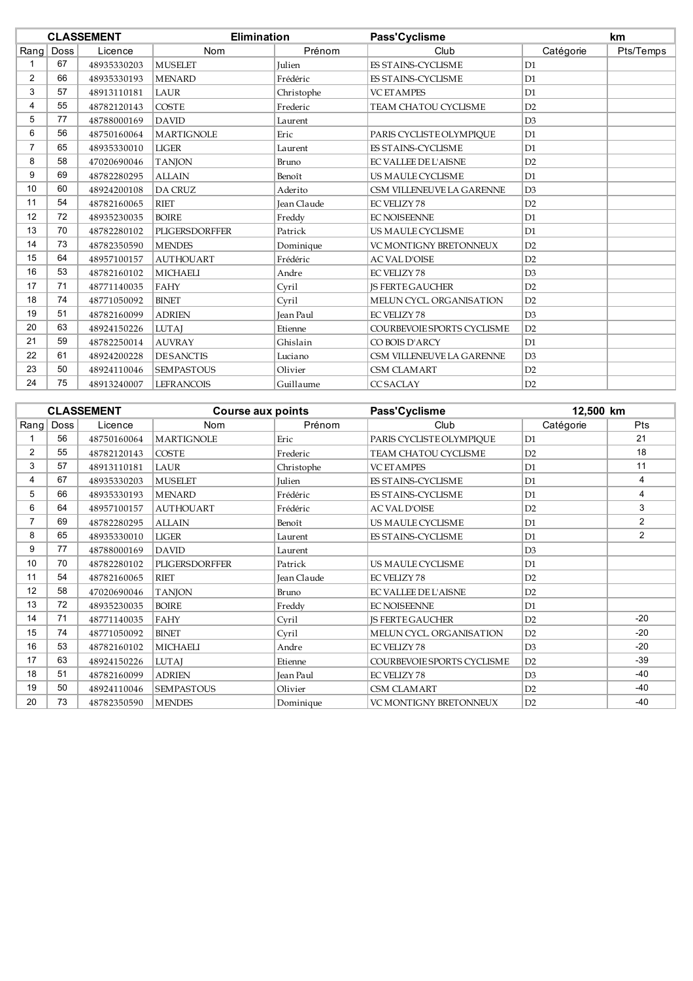|                | <b>CLASSEMENT</b> |             |                   | <b>Elimination</b> |                             | Pass'Cyclisme  |           |
|----------------|-------------------|-------------|-------------------|--------------------|-----------------------------|----------------|-----------|
| Rang           | Doss              | Licence     | <b>Nom</b>        | Prénom             | Club                        | Catégorie      | Pts/Temps |
|                | 67                | 48935330203 | <b>MUSELET</b>    | Julien             | ES STAINS-CYCLISME          | D1             |           |
| $\overline{2}$ | 66                | 48935330193 | <b>MENARD</b>     | Frédéric           | <b>ES STAINS-CYCLISME</b>   | D <sub>1</sub> |           |
| 3              | 57                | 48913110181 | <b>LAUR</b>       | Christophe         | <b>VC ETAMPES</b>           | D <sub>1</sub> |           |
| 4              | 55                | 48782120143 | <b>COSTE</b>      | Frederic           | TEAM CHATOU CYCLISME        | D2             |           |
| 5              | 77                | 48788000169 | <b>DAVID</b>      | Laurent            |                             | D <sub>3</sub> |           |
| 6              | 56                | 48750160064 | <b>MARTIGNOLE</b> | Eric               | PARIS CYCLISTE OLYMPIQUE    | D1             |           |
| $\overline{7}$ | 65                | 48935330010 | <b>LIGER</b>      | Laurent            | <b>ES STAINS-CYCLISME</b>   | D1             |           |
| 8              | 58                | 47020690046 | <b>TANJON</b>     | Bruno              | <b>EC VALLEE DE L'AISNE</b> | D2             |           |
| 9              | 69                | 48782280295 | <b>ALLAIN</b>     | Benoît             | US MAULE CYCLISME           | D1             |           |
| 10             | 60                | 48924200108 | <b>DA CRUZ</b>    | Aderito            | CSM VILLENEUVE LA GARENNE   | D3             |           |
| 11             | 54                | 48782160065 | <b>RIET</b>       | Jean Claude        | <b>EC VELIZY 78</b>         | D2             |           |
| 12             | 72                | 48935230035 | <b>BOIRE</b>      | Freddy             | <b>EC NOISEENNE</b>         | D <sub>1</sub> |           |
| 13             | 70                | 48782280102 | PLIGERSDORFFER    | Patrick            | US MAULE CYCLISME           | D <sub>1</sub> |           |
| 14             | 73                | 48782350590 | <b>MENDES</b>     | Dominique          | VC MONTIGNY BRETONNEUX      | D2             |           |
| 15             | 64                | 48957100157 | <b>AUTHOUART</b>  | Frédéric           | <b>AC VAL D'OISE</b>        | D2             |           |
| 16             | 53                | 48782160102 | <b>MICHAELI</b>   | Andre              | <b>EC VELIZY 78</b>         | D <sub>3</sub> |           |
| 17             | 71                | 48771140035 | FAHY              | Cvril              | <b>IS FERTE GAUCHER</b>     | D2             |           |
| 18             | 74                | 48771050092 | <b>BINET</b>      | Cvril              | MELUN CYCL. ORGANISATION    | D2             |           |
| 19             | 51                | 48782160099 | <b>ADRIEN</b>     | Jean Paul          | <b>EC VELIZY 78</b>         | D3             |           |
| 20             | 63                | 48924150226 | <b>LUTAJ</b>      | Etienne            | COURBEVOIE SPORTS CYCLISME  | D2             |           |
| 21             | 59                | 48782250014 | <b>AUVRAY</b>     | Ghislain           | CO BOIS D'ARCY              | D1             |           |
| 22             | 61                | 48924200228 | <b>DESANCTIS</b>  | Luciano            | CSM VILLENEUVE LA GARENNE   | D <sub>3</sub> |           |
| 23             | 50                | 48924110046 | <b>SEMPASTOUS</b> | Olivier            | <b>CSM CLAMART</b>          | D2             |           |
| 24             | 75                | 48913240007 | <b>LEFRANCOIS</b> | Guillaume          | <b>CCSACLAY</b>             | D2             |           |

|                |      | <b>CLASSEMENT</b> | Course aux points |               | Pass'Cyclisme                 | 12,500 km      |                |
|----------------|------|-------------------|-------------------|---------------|-------------------------------|----------------|----------------|
| Rang           | Doss | Licence           | <b>Nom</b>        | Prénom        | Club                          | Catégorie      | Pts            |
|                | 56   | 48750160064       | <b>MARTIGNOLE</b> | Eric          | PARIS CYCLISTE OLYMPIQUE      | D <sub>1</sub> | 21             |
| $\overline{2}$ | 55   | 48782120143       | COSTE             | Frederic      | TEAM CHATOU CYCLISME          | D2             | 18             |
| 3              | 57   | 48913110181       | LAUR              | Christophe    | <b>VC ET AMPES</b>            | D <sub>1</sub> | 11             |
| 4              | 67   | 48935330203       | <b>MUSELET</b>    | <b>Julien</b> | ES STAINS-CYCLISME            | D <sub>1</sub> | 4              |
| 5              | 66   | 48935330193       | <b>MENARD</b>     | Frédéric      | <b>ES STAINS-CYCLISME</b>     | D <sub>1</sub> | 4              |
| 6              | 64   | 48957100157       | <b>AUTHOUART</b>  | Frédéric      | <b>AC VAL D'OISE</b>          | D2             | 3              |
| $\overline{7}$ | 69   | 48782280295       | <b>ALLAIN</b>     | Benoît        | US MAULE CYCLISME             | D <sub>1</sub> | $\overline{2}$ |
| 8              | 65   | 48935330010       | <b>LIGER</b>      | Laurent       | ES STAINS-CYCLISME            | D <sub>1</sub> | $\overline{2}$ |
| 9              | 77   | 48788000169       | <b>DAVID</b>      | Laurent       |                               | D <sub>3</sub> |                |
| 10             | 70   | 48782280102       | PLIGERSDORFFER    | Patrick       | US MAULE CYCLISME             | D <sub>1</sub> |                |
| 11             | 54   | 48782160065       | <b>RIET</b>       | Jean Claude   | <b>EC VELIZY 78</b>           | D2             |                |
| 12             | 58   | 47020690046       | <b>TANJON</b>     | Bruno         | <b>EC VALLEE DE L'AISNE</b>   | D2             |                |
| 13             | 72   | 48935230035       | <b>BOIRE</b>      | Freddy        | <b>EC NOISEENNE</b>           | D <sub>1</sub> |                |
| 14             | 71   | 48771140035       | FAHY              | Cyril         | <b>IS FERTE GAUCHER</b>       | D2             | $-20$          |
| 15             | 74   | 48771050092       | <b>BINET</b>      | Cvril         | MELUN CYCL. ORGANISATION      | D2             | $-20$          |
| 16             | 53   | 48782160102       | <b>MICHAELI</b>   | Andre         | <b>EC VELIZY 78</b>           | D <sub>3</sub> | $-20$          |
| 17             | 63   | 48924150226       | <b>LUTAJ</b>      | Etienne       | COURBEVOIE SPORTS CYCLISME    | D2             | $-39$          |
| 18             | 51   | 48782160099       | <b>ADRIEN</b>     | Jean Paul     | <b>EC VELIZY 78</b>           | D <sub>3</sub> | $-40$          |
| 19             | 50   | 48924110046       | <b>SEMPASTOUS</b> | Olivier       | <b>CSM CLAMART</b>            | D2             | $-40$          |
| 20             | 73   | 48782350590       | <b>MENDES</b>     | Dominique     | <b>VC MONTIGNY BRETONNEUX</b> | D2             | $-40$          |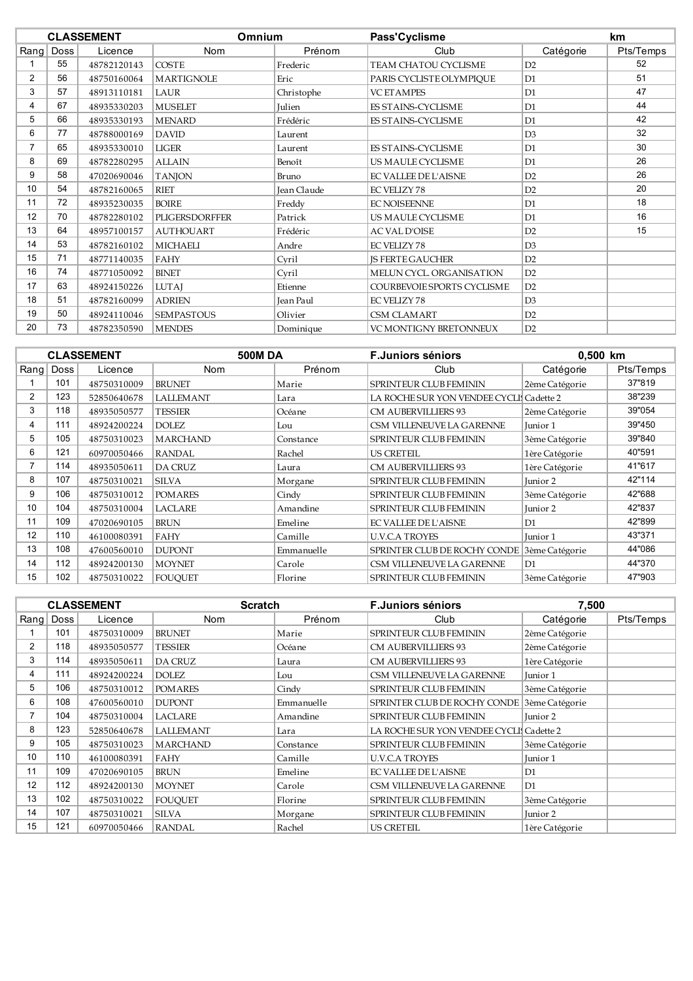|                | <b>CLASSEMENT</b> |             | <b>Omnium</b>         |             | Pass'Cyclisme               |                | km        |
|----------------|-------------------|-------------|-----------------------|-------------|-----------------------------|----------------|-----------|
| $R$ ang        | Doss              | Licence     | Nom                   | Prénom      | Club                        | Catégorie      | Pts/Temps |
|                | 55                | 48782120143 | <b>COSTE</b>          | Frederic    | TEAM CHATOU CYCLISME        | D2             | 52        |
| $\overline{2}$ | 56                | 48750160064 | <b>MARTIGNOLE</b>     | Eric        | PARIS CYCLISTE OLYMPIQUE    | D <sub>1</sub> | 51        |
| 3              | 57                | 48913110181 | LAUR                  | Christophe  | <b>VC ET AMPES</b>          | D <sub>1</sub> | 47        |
| 4              | 67                | 48935330203 | <b>MUSELET</b>        | Julien      | ES STAINS-CYCLISME          | D <sub>1</sub> | 44        |
| 5              | 66                | 48935330193 | <b>MENARD</b>         | Frédéric    | ES STAINS-CYCLISME          | D <sub>1</sub> | 42        |
| 6              | 77                | 48788000169 | <b>DAVID</b>          | Laurent     |                             | D <sub>3</sub> | 32        |
| $\overline{7}$ | 65                | 48935330010 | <b>LIGER</b>          | Laurent     | ES STAINS-CYCLISME          | D <sub>1</sub> | 30        |
| 8              | 69                | 48782280295 | <b>ALLAIN</b>         | Benoît      | US MAULE CYCLISME           | D <sub>1</sub> | 26        |
| 9              | 58                | 47020690046 | <b>TANJON</b>         | Bruno       | <b>EC VALLEE DE L'AISNE</b> | D <sub>2</sub> | 26        |
| 10             | 54                | 48782160065 | <b>RIET</b>           | Jean Claude | <b>EC VELIZY 78</b>         | D2             | 20        |
| 11             | 72                | 48935230035 | <b>BOIRE</b>          | Freddy      | <b>EC NOISEENNE</b>         | D <sub>1</sub> | 18        |
| 12             | 70                | 48782280102 | <b>PLIGERSDORFFER</b> | Patrick     | US MAULE CYCLISME           | D <sub>1</sub> | 16        |
| 13             | 64                | 48957100157 | <b>AUTHOUART</b>      | Frédéric    | <b>AC VAL D'OISE</b>        | D2             | 15        |
| 14             | 53                | 48782160102 | <b>MICHAELI</b>       | Andre       | <b>EC VELIZY 78</b>         | D <sub>3</sub> |           |
| 15             | 71                | 48771140035 | FAHY                  | Cvril       | <b>IS FERTE GAUCHER</b>     | D2             |           |
| 16             | 74                | 48771050092 | <b>BINET</b>          | Cyril       | MELUN CYCL. ORGANISATION    | D2             |           |
| 17             | 63                | 48924150226 | <b>LUTAJ</b>          | Etienne     | COURBEVOIE SPORTS CYCLISME  | D2             |           |
| 18             | 51                | 48782160099 | <b>ADRIEN</b>         | Jean Paul   | <b>EC VELIZY 78</b>         | D3             |           |
| 19             | 50                | 48924110046 | <b>SEMPASTOUS</b>     | Olivier     | <b>CSM CLAMART</b>          | D2             |           |
| 20             | 73                | 48782350590 | <b>MENDES</b>         | Dominique   | VC MONTIGNY BRETONNEUX      | D2             |           |

|                | <b>CLASSEMENT</b> |             | <b>500MDA</b>    |            | <b>F.Juniors séniors</b>                | 0,500 km       |           |
|----------------|-------------------|-------------|------------------|------------|-----------------------------------------|----------------|-----------|
| Rang           | Doss              | Licence     | <b>Nom</b>       | Prénom     | Club                                    | Catégorie      | Pts/Temps |
|                | 101               | 48750310009 | <b>BRUNET</b>    | Marie      | <b>SPRINTEUR CLUB FEMININ</b>           | 2ème Catégorie | 37"819    |
| $\overline{2}$ | 123               | 52850640678 | <b>LALLEMANT</b> | Lara       | LA ROCHE SUR YON VENDEE CYCLI Cadette 2 |                | 38"239    |
| 3              | 118               | 48935050577 | <b>TESSIER</b>   | Océane     | <b>CM AUBERVILLIERS 93</b>              | 2ème Catégorie | 39"054    |
| 4              | 111               | 48924200224 | <b>DOLEZ</b>     | Lou        | CSM VILLENEUVE LA GARENNE               | Junior 1       | 39"450    |
| 5              | 105               | 48750310023 | <b>MARCHAND</b>  | Constance  | SPRINTEUR CLUB FEMININ                  | 3ème Catégorie | 39"840    |
| 6              | 121               | 60970050466 | <b>RANDAL</b>    | Rachel     | <b>US CRETEIL</b>                       | 1ère Catégorie | 40"591    |
| 7              | 114               | 48935050611 | <b>DA CRUZ</b>   | Laura      | <b>CM AUBERVILLIERS 93</b>              | 1ère Catégorie | 41"617    |
| 8              | 107               | 48750310021 | <b>SILVA</b>     | Morgane    | <b>SPRINTEUR CLUB FEMININ</b>           | Junior 2       | 42"114    |
| 9              | 106               | 48750310012 | <b>POMARES</b>   | Cindy      | SPRINTEUR CLUB FEMININ                  | 3ème Catégorie | 42"688    |
| 10             | 104               | 48750310004 | <b>LACLARE</b>   | Amandine   | <b>SPRINTEUR CLUB FEMININ</b>           | Junior 2       | 42"837    |
| 11             | 109               | 47020690105 | <b>BRUN</b>      | Emeline    | <b>EC VALLEE DE L'AISNE</b>             | D1             | 42"899    |
| 12             | 110               | 46100080391 | FAHY             | Camille    | <b>U.V.C.A TROYES</b>                   | Junior 1       | 43"371    |
| 13             | 108               | 47600560010 | <b>DUPONT</b>    | Emmanuelle | SPRINTER CLUB DE ROCHY CONDE            | 3ème Catégorie | 44"086    |
| 14             | 112               | 48924200130 | <b>MOYNET</b>    | Carole     | CSM VILLENEUVE LA GARENNE               | D1             | 44"370    |
| 15             | 102               | 48750310022 | <b>FOUOUET</b>   | Florine    | SPRINTEUR CLUB FEMININ                  | 3ème Catégorie | 47"903    |

|                |      | <b>CLASSEMENT</b> | <b>Scratch</b>   |            | <b>F.Juniors séniors</b>                    | 7,500          |           |
|----------------|------|-------------------|------------------|------------|---------------------------------------------|----------------|-----------|
| Rang           | Doss | Licence           | <b>Nom</b>       | Prénom     | Club                                        | Catégorie      | Pts/Temps |
|                | 101  | 48750310009       | <b>BRUNET</b>    | Marie      | <b>SPRINTEUR CLUB FEMININ</b>               | 2ème Catégorie |           |
| $\overline{2}$ | 118  | 48935050577       | <b>TESSIER</b>   | Océane     | <b>CM AUBERVILLIERS 93</b>                  | 2ème Catégorie |           |
| 3              | 114  | 48935050611       | <b>DA CRUZ</b>   | Laura      | <b>CM AUBERVILLIERS 93</b>                  | 1ère Catégorie |           |
| 4              | 111  | 48924200224       | <b>DOLEZ</b>     | Lou        | CSM VILLENEUVE LA GARENNE                   | Junior 1       |           |
| 5              | 106  | 48750310012       | <b>POMARES</b>   | Cindy      | SPRINTEUR CLUB FEMININ                      | 3ème Catégorie |           |
| 6              | 108  | 47600560010       | <b>DUPONT</b>    | Emmanuelle | SPRINTER CLUB DE ROCHY CONDE 3ème Catégorie |                |           |
|                | 104  | 48750310004       | LACLARE          | Amandine   | <b>SPRINTEUR CLUB FEMININ</b>               | Junior 2       |           |
| 8              | 123  | 52850640678       | <b>LALLEMANT</b> | Lara       | LA ROCHE SUR YON VENDEE CYCLI Cadette 2     |                |           |
| 9              | 105  | 48750310023       | <b>MARCHAND</b>  | Constance  | SPRINTEUR CLUB FEMININ                      | 3ème Catégorie |           |
| 10             | 110  | 46100080391       | FAHY             | Camille    | <b>U.V.C.A TROYES</b>                       | Junior 1       |           |
| 11             | 109  | 47020690105       | <b>BRUN</b>      | Emeline    | <b>EC VALLEE DE L'AISNE</b>                 | D <sub>1</sub> |           |
| 12             | 112  | 48924200130       | <b>MOYNET</b>    | Carole     | CSM VILLENEUVE LA GARENNE                   | D1             |           |
| 13             | 102  | 48750310022       | <b>FOUQUET</b>   | Florine    | SPRINTEUR CLUB FEMININ                      | 3ème Catégorie |           |
| 14             | 107  | 48750310021       | <b>SILVA</b>     | Morgane    | <b>SPRINTEUR CLUB FEMININ</b>               | Junior 2       |           |
| 15             | 121  | 60970050466       | <b>RANDAL</b>    | Rachel     | <b>US CRETEIL</b>                           | 1ère Catégorie |           |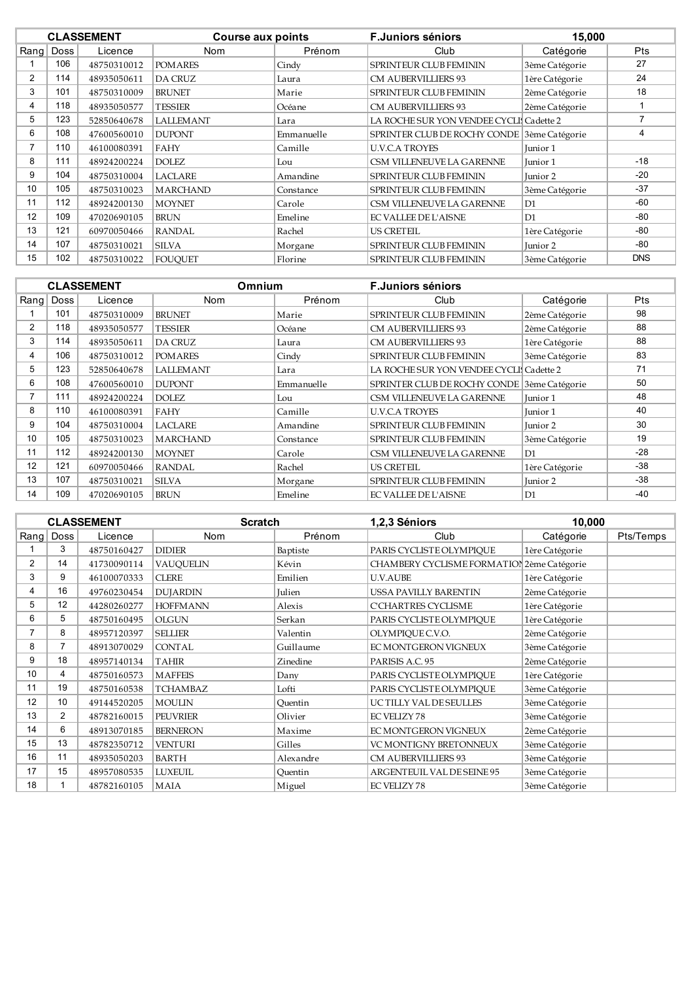|                | <b>CLASSEMENT</b> |             | <b>Course aux points</b> |            | <b>F.Juniors séniors</b>                    | 15,000         |            |
|----------------|-------------------|-------------|--------------------------|------------|---------------------------------------------|----------------|------------|
| Rang           | <b>Doss</b>       | Licence     | Nom                      | Prénom     | Club                                        | Catégorie      | <b>Pts</b> |
|                | 106               | 48750310012 | <b>POMARES</b>           | Cindy      | <b>SPRINTEUR CLUB FEMININ</b>               | 3ème Catégorie | 27         |
| $\overline{2}$ | 114               | 48935050611 | DA CRUZ                  | Laura      | <b>CM AUBERVILLIERS 93</b>                  | 1ère Catégorie | 24         |
| 3              | 101               | 48750310009 | <b>BRUNET</b>            | Marie      | SPRINTEUR CLUB FEMININ                      | 2ème Catégorie | 18         |
| 4              | 118               | 48935050577 | <b>TESSIER</b>           | Océane     | <b>CM AUBERVILLIERS 93</b>                  | 2ème Catégorie |            |
| 5              | 123               | 52850640678 | <b>LALLEMANT</b>         | Lara       | LA ROCHE SUR YON VENDEE CYCLI Cadette 2     |                |            |
| 6              | 108               | 47600560010 | <b>DUPONT</b>            | Emmanuelle | SPRINTER CLUB DE ROCHY CONDE 3ème Catégorie |                | 4          |
| 7              | 110               | 46100080391 | FAHY                     | Camille    | <b>U.V.C.A TROYES</b>                       | Junior 1       |            |
| 8              | 111               | 48924200224 | <b>DOLEZ</b>             | Lou        | CSM VILLENEUVE LA GARENNE                   | Junior 1       | $-18$      |
| 9              | 104               | 48750310004 | <b>LACLARE</b>           | Amandine   | SPRINTEUR CLUB FEMININ                      | Junior 2       | $-20$      |
| 10             | 105               | 48750310023 | <b>MARCHAND</b>          | Constance  | <b>SPRINTEUR CLUB FEMININ</b>               | 3ème Catégorie | $-37$      |
| 11             | 112               | 48924200130 | <b>MOYNET</b>            | Carole     | CSM VILLENEUVE LA GARENNE                   | D1             | $-60$      |
| 12             | 109               | 47020690105 | <b>BRUN</b>              | Emeline    | <b>EC VALLEE DE L'AISNE</b>                 | D1             | $-80$      |
| 13             | 121               | 60970050466 | <b>RANDAL</b>            | Rachel     | <b>US CRETEIL</b>                           | 1ère Catégorie | $-80$      |
| 14             | 107               | 48750310021 | <b>SILVA</b>             | Morgane    | SPRINTEUR CLUB FEMININ                      | Junior 2       | $-80$      |
| 15             | 102               | 48750310022 | <b>FOUOUET</b>           | Florine    | <b>SPRINTEUR CLUB FEMININ</b>               | 3ème Catégorie | <b>DNS</b> |

|    | <b>CLASSEMENT</b> |             |                  | Omnium     | <b>F.Juniors séniors</b>                    |                |            |
|----|-------------------|-------------|------------------|------------|---------------------------------------------|----------------|------------|
|    | Rang Doss         | Licence     | Nom              | Prénom     | Club                                        | Catégorie      | <b>Pts</b> |
|    | 101               | 48750310009 | <b>BRUNET</b>    | Marie      | <b>SPRINTEUR CLUB FEMININ</b>               | 2ème Catégorie | 98         |
| 2  | 118               | 48935050577 | <b>TESSIER</b>   | Océane     | <b>CM AUBERVILLIERS 93</b>                  | 2ème Catégorie | 88         |
| 3  | 114               | 48935050611 | <b>DA CRUZ</b>   | Laura      | <b>CM AUBERVILLIERS 93</b>                  | 1ère Catégorie | 88         |
| 4  | 106               | 48750310012 | <b>POMARES</b>   | Cindy      | <b>SPRINTEUR CLUB FEMININ</b>               | 3ème Catégorie | 83         |
| 5  | 123               | 52850640678 | <b>LALLEMANT</b> | Lara       | LA ROCHE SUR YON VENDEE CYCLI Cadette 2     |                | 71         |
| 6  | 108               | 47600560010 | <b>DUPONT</b>    | Emmanuelle | SPRINTER CLUB DE ROCHY CONDE 3ème Catégorie |                | 50         |
|    | 111               | 48924200224 | <b>DOLEZ</b>     | Lou        | CSM VILLENEUVE LA GARENNE                   | Junior 1       | 48         |
| 8  | 110               | 46100080391 | FAHY             | Camille    | <b>U.V.C.A TROYES</b>                       | Junior 1       | 40         |
| 9  | 104               | 48750310004 | <b>LACLARE</b>   | Amandine   | <b>SPRINTEUR CLUB FEMININ</b>               | Junior 2       | 30         |
| 10 | 105               | 48750310023 | <b>MARCHAND</b>  | Constance  | <b>SPRINTEUR CLUB FEMININ</b>               | 3ème Catégorie | 19         |
| 11 | 112               | 48924200130 | <b>MOYNET</b>    | Carole     | CSM VILLENEUVE LA GARENNE                   | D1             | $-28$      |
| 12 | 121               | 60970050466 | <b>RANDAL</b>    | Rachel     | <b>US CRETEIL</b>                           | 1ère Catégorie | $-38$      |
| 13 | 107               | 48750310021 | <b>SILVA</b>     | Morgane    | <b>SPRINTEUR CLUB FEMININ</b>               | Junior 2       | $-38$      |
| 14 | 109               | 47020690105 | <b>BRUN</b>      | Emeline    | <b>EC VALLEE DE L'AISNE</b>                 | D <sub>1</sub> | $-40$      |

|      |                | <b>CLASSEMENT</b> | <b>Scratch</b>   |           | 1,2,3 Séniors                              | 10,000         |           |
|------|----------------|-------------------|------------------|-----------|--------------------------------------------|----------------|-----------|
| Rang | <b>Doss</b>    | Licence           | <b>Nom</b>       | Prénom    | Club                                       | Catégorie      | Pts/Temps |
|      | 3              | 48750160427       | <b>DIDIER</b>    | Baptiste  | PARIS CYCLISTE OLYMPIQUE                   | 1ère Catégorie |           |
| 2    | 14             | 41730090114       | <b>VAUQUELIN</b> | Kévin     | CHAMBERY CYCLISME FORMATION 2ème Catégorie |                |           |
| 3    | 9              | 46100070333       | <b>CLERE</b>     | Emilien   | U.V.AUBE                                   | 1ère Catégorie |           |
| 4    | 16             | 49760230454       | <b>DUJARDIN</b>  | Julien    | USSA PAVILLY BARENTIN                      | 2ème Catégorie |           |
| 5    | 12             | 44280260277       | <b>HOFFMANN</b>  | Alexis    | <b>C'CHARTRES CYCLISME</b>                 | 1ère Catégorie |           |
| 6    | 5              | 48750160495       | <b>OLGUN</b>     | Serkan    | PARIS CYCLISTE OLYMPIOUE                   | 1ère Catégorie |           |
|      | 8              | 48957120397       | <b>SELLIER</b>   | Valentin  | OLYMPIQUE C.V.O.                           | 2ème Catégorie |           |
| 8    |                | 48913070029       | <b>CONTAL</b>    | Guillaume | EC MONTGERON VIGNEUX                       | 3ème Catégorie |           |
| 9    | 18             | 48957140134       | <b>TAHIR</b>     | Zinedine  | PARISIS A.C. 95                            | 2ème Catégorie |           |
| 10   | 4              | 48750160573       | <b>MAFFEIS</b>   | Dany      | PARIS CYCLISTE OLYMPIQUE                   | 1ère Catégorie |           |
| 11   | 19             | 48750160538       | <b>TCHAMBAZ</b>  | Lofti     | PARIS CYCLISTE OLYMPIQUE                   | 3ème Catégorie |           |
| 12   | 10             | 49144520205       | <b>MOULIN</b>    | Ouentin   | UCTILLY VAL DESEULLES                      | 3ème Catégorie |           |
| 13   | $\overline{2}$ | 48782160015       | <b>PEUVRIER</b>  | Olivier   | <b>EC VELIZY 78</b>                        | 3ème Catégorie |           |
| 14   | 6              | 48913070185       | <b>BERNERON</b>  | Maxime    | EC MONTGERON VIGNEUX                       | 2ème Catégorie |           |
| 15   | 13             | 48782350712       | <b>VENTURI</b>   | Gilles    | VC MONTIGNY BRETONNEUX                     | 3ème Catégorie |           |
| 16   | 11             | 48935050203       | <b>BARTH</b>     | Alexandre | <b>CM AUBERVILLIERS 93</b>                 | 3ème Catégorie |           |
| 17   | 15             | 48957080535       | <b>LUXEUIL</b>   | Quentin   | ARGENTEUIL VAL DE SEINE 95                 | 3ème Catégorie |           |
| 18   |                | 48782160105       | MAIA             | Miguel    | <b>EC VELIZY 78</b>                        | 3ème Catégorie |           |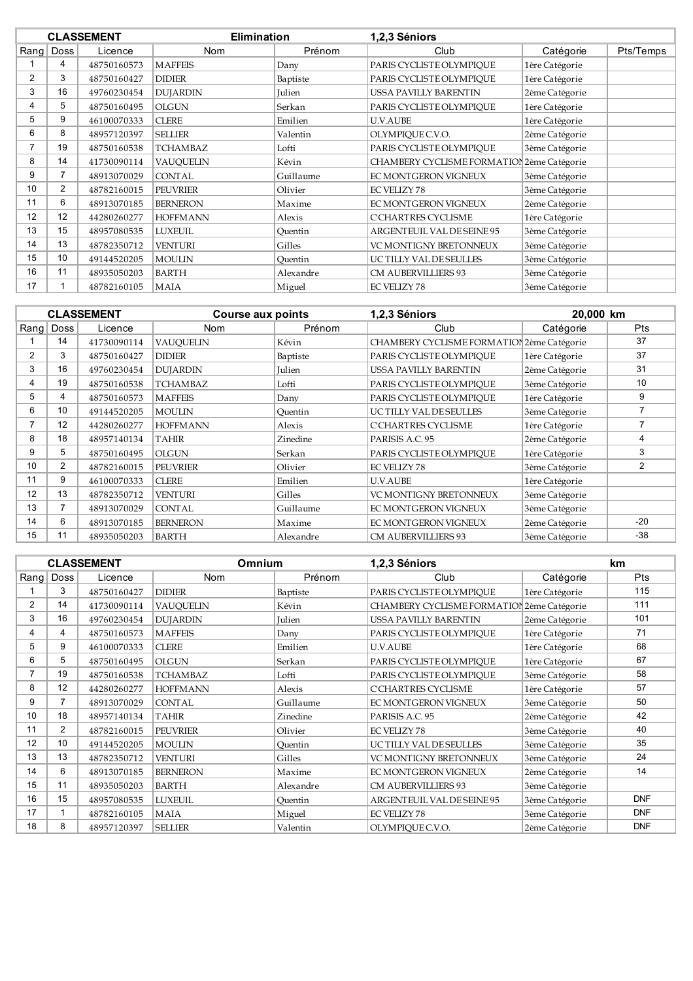|                |                | <b>CLASSEMENT</b> |                  | <b>Elimination</b><br>1,2,3 Séniors |                                            |                |           |
|----------------|----------------|-------------------|------------------|-------------------------------------|--------------------------------------------|----------------|-----------|
|                | Rang   Doss    | Licence           | <b>Nom</b>       | Prénom                              | Club                                       | Catégorie      | Pts/Temps |
|                | 4              | 48750160573       | <b>MAFFEIS</b>   | Dany                                | PARIS CYCLISTE OLYMPIQUE                   | 1ère Catégorie |           |
| $\overline{2}$ | 3              | 48750160427       | <b>DIDIER</b>    | Baptiste                            | PARIS CYCLISTE OLYMPIOUE                   | 1ère Catégorie |           |
| 3              | 16             | 49760230454       | <b>DUJARDIN</b>  | Julien                              | USSA PAVILLY BARENTIN                      | 2ème Catégorie |           |
| 4              | 5              | 48750160495       | <b>OLGUN</b>     | Serkan                              | PARIS CYCLISTE OLYMPIOUE                   | 1ère Catégorie |           |
| 5              | 9              | 46100070333       | <b>CLERE</b>     | Emilien                             | U.V.AUBE                                   | 1ère Catégorie |           |
| 6              | 8              | 48957120397       | <b>SELLIER</b>   | Valentin                            | OLYMPIQUE C.V.O.                           | 2ème Catégorie |           |
| 7              | 19             | 48750160538       | <b>TCHAMBAZ</b>  | Lofti                               | PARIS CYCLISTE OLYMPIOUE                   | 3ème Catégorie |           |
| 8              | 14             | 41730090114       | <b>VAUQUELIN</b> | Kévin                               | CHAMBERY CYCLISME FORMATIOI 2ème Catégorie |                |           |
| 9              | 7              | 48913070029       | <b>CONTAL</b>    | Guillaume                           | EC MONTGERON VIGNEUX                       | 3ème Catégorie |           |
| 10             | $\overline{2}$ | 48782160015       | <b>PEUVRIER</b>  | Olivier                             | <b>EC VELIZY 78</b>                        | 3ème Catégorie |           |
| 11             | 6              | 48913070185       | <b>BERNERON</b>  | Maxime                              | EC MONTGERON VIGNEUX                       | 2ème Catégorie |           |
| 12             | 12             | 44280260277       | <b>HOFFMANN</b>  | Alexis                              | <b>C'CHARTRES CYCLISME</b>                 | 1ère Catégorie |           |
| 13             | 15             | 48957080535       | <b>LUXEUIL</b>   | Ouentin                             | ARGENTEUIL VAL DE SEINE 95                 | 3ème Catégorie |           |
| 14             | 13             | 48782350712       | <b>VENTURI</b>   | Gilles                              | <b>VC MONTIGNY BRETONNEUX</b>              | 3ème Catégorie |           |
| 15             | 10             | 49144520205       | <b>MOULIN</b>    | Ouentin                             | UCTILLY VAL DESEULLES                      | 3ème Catégorie |           |
| 16             | 11             | 48935050203       | <b>BARTH</b>     | Alexandre                           | <b>CM AUBERVILLIERS 93</b>                 | 3ème Catégorie |           |
| 17             |                | 48782160105       | <b>MAIA</b>      | Miguel                              | <b>EC VELIZY 78</b>                        | 3ème Catégorie |           |

|                |                | <b>CLASSEMENT</b> | <b>Course aux points</b> |               | 1,2,3 Séniors                              | 20,000 km      |            |
|----------------|----------------|-------------------|--------------------------|---------------|--------------------------------------------|----------------|------------|
|                | Rang Doss      | Licence           | <b>Nom</b>               | Prénom        | Club                                       | Catégorie      | <b>Pts</b> |
|                | 14             | 41730090114       | <b>VAUOUELIN</b>         | Kévin         | CHAMBERY CYCLISME FORMATION 2ème Catégorie |                | 37         |
| $\overline{2}$ | 3              | 48750160427       | <b>DIDIER</b>            | Baptiste      | PARIS CYCLISTE OLYMPIOUE                   | 1ère Catégorie | 37         |
| 3              | 16             | 49760230454       | <b>DUJARDIN</b>          | <b>Julien</b> | USSA PAVILLY BARENTIN                      | 2ème Catégorie | 31         |
| 4              | 19             | 48750160538       | <b>TCHAMBAZ</b>          | Lofti         | PARIS CYCLISTE OLYMPIOUE                   | 3ème Catégorie | 10         |
| 5              | 4              | 48750160573       | <b>MAFFEIS</b>           | Dany          | PARIS CYCLISTE OLYMPIOUE                   | 1ère Catégorie | 9          |
| 6              | 10             | 49144520205       | <b>MOULIN</b>            | Quentin       | UCTILLY VAL DESEULLES                      | 3ème Catégorie |            |
|                | 12             | 44280260277       | <b>HOFFMANN</b>          | Alexis        | <b>C'CHARTRES CYCLISME</b>                 | 1ère Catégorie |            |
| 8              | 18             | 48957140134       | <b>TAHIR</b>             | Zinedine      | PARISIS A.C. 95                            | 2ème Catégorie | 4          |
| 9              | 5              | 48750160495       | OLGUN                    | Serkan        | PARIS CYCLISTE OLYMPIOUE                   | 1ère Catégorie | 3          |
| 10             | $\overline{2}$ | 48782160015       | <b>PEUVRIER</b>          | Olivier       | <b>EC VELIZY 78</b>                        | 3ème Catégorie | 2          |
| 11             | 9              | 46100070333       | <b>CLERE</b>             | Emilien       | U.V.AUBE                                   | 1ère Catégorie |            |
| 12             | 13             | 48782350712       | <b>VENTURI</b>           | Gilles        | VC MONTIGNY BRETONNEUX                     | 3ème Catégorie |            |
| 13             |                | 48913070029       | CONTAL                   | Guillaume     | EC MONTGERON VIGNEUX                       | 3ème Catégorie |            |
| 14             | 6              | 48913070185       | <b>BERNERON</b>          | Maxime        | EC MONTGERON VIGNEUX                       | 2ème Catégorie | $-20$      |
| 15             | 11             | 48935050203       | <b>BARTH</b>             | Alexandre     | <b>CM AUBERVILLIERS 93</b>                 | 3ème Catégorie | $-38$      |

|                |      | <b>CLASSEMENT</b> | <b>Omnium</b>    |           | 1,2,3 Séniors                              |                | <b>km</b>  |
|----------------|------|-------------------|------------------|-----------|--------------------------------------------|----------------|------------|
| $R$ ang        | Doss | Licence           | <b>Nom</b>       | Prénom    | Club                                       | Catégorie      | Pts        |
|                | 3    | 48750160427       | <b>DIDIER</b>    | Baptiste  | PARIS CYCLISTE OLYMPIOUE                   | 1ère Catégorie | 115        |
| $\overline{2}$ | 14   | 41730090114       | <b>VAUQUELIN</b> | Kévin     | CHAMBERY CYCLISME FORMATIOI 2ème Catégorie |                | 111        |
| 3              | 16   | 49760230454       | <b>DUJARDIN</b>  | Julien    | USSA PAVILLY BARENTIN                      | 2ème Catégorie | 101        |
| 4              | 4    | 48750160573       | <b>MAFFEIS</b>   | Dany      | PARIS CYCLISTE OLYMPIOUE                   | 1ère Catégorie | 71         |
| 5              | 9    | 46100070333       | <b>CLERE</b>     | Emilien   | <b>U.V.AUBE</b>                            | 1ère Catégorie | 68         |
| 6              | 5    | 48750160495       | <b>OLGUN</b>     | Serkan    | PARIS CYCLISTE OLYMPIOUE                   | 1ère Catégorie | 67         |
| 7              | 19   | 48750160538       | <b>TCHAMBAZ</b>  | Lofti     | PARIS CYCLISTE OLYMPIOUE                   | 3ème Catégorie | 58         |
| 8              | 12   | 44280260277       | <b>HOFFMANN</b>  | Alexis    | <b>C'CHARTRES CYCLISME</b>                 | 1ère Catégorie | 57         |
| 9              |      | 48913070029       | <b>CONTAL</b>    | Guillaume | EC MONTGERON VIGNEUX                       | 3ème Catégorie | 50         |
| 10             | 18   | 48957140134       | <b>TAHIR</b>     | Zinedine  | PARISIS A.C. 95                            | 2ème Catégorie | 42         |
| 11             | 2    | 48782160015       | <b>PEUVRIER</b>  | Olivier   | <b>EC VELIZY 78</b>                        | 3ème Catégorie | 40         |
| 12             | 10   | 49144520205       | <b>MOULIN</b>    | Ouentin   | UCTILLY VAL DESEULLES                      | 3ème Catégorie | 35         |
| 13             | 13   | 48782350712       | <b>VENTURI</b>   | Gilles    | VC MONTIGNY BRETONNEUX                     | 3ème Catégorie | 24         |
| 14             | 6    | 48913070185       | <b>BERNERON</b>  | Maxime    | EC MONTGERON VIGNEUX                       | 2ème Catégorie | 14         |
| 15             | 11   | 48935050203       | <b>BARTH</b>     | Alexandre | <b>CM AUBERVILLIERS 93</b>                 | 3ème Catégorie |            |
| 16             | 15   | 48957080535       | <b>LUXEUIL</b>   | Ouentin   | ARGENTEUIL VAL DE SEINE 95                 | 3ème Catégorie | <b>DNF</b> |
| 17             |      | 48782160105       | MAIA             | Miguel    | <b>EC VELIZY 78</b>                        | 3ème Catégorie | <b>DNF</b> |
| 18             | 8    | 48957120397       | <b>SELLIER</b>   | Valentin  | OLYMPIOUE C.V.O.                           | 2ème Catégorie | <b>DNF</b> |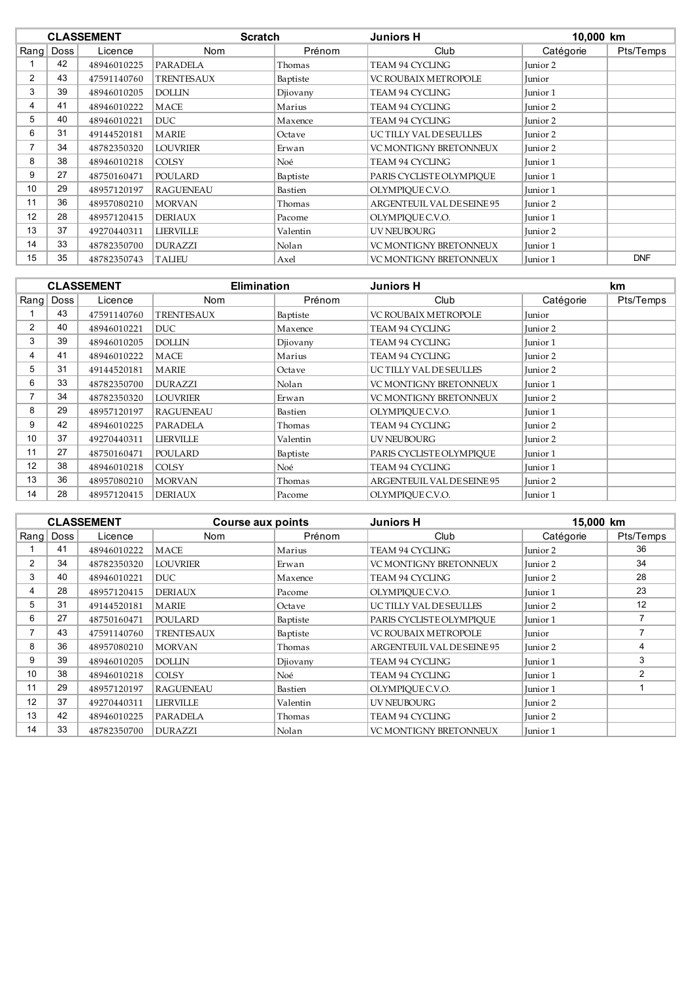| <b>CLASSEMENT</b> |      | <b>Scratch</b> | <b>Juniors H</b>  |          | 10,000 km                     |           |            |
|-------------------|------|----------------|-------------------|----------|-------------------------------|-----------|------------|
| $R$ ang           | Doss | Licence        | Nom               | Prénom   | Club                          | Catégorie | Pts/Temps  |
|                   | 42   | 48946010225    | <b>PARADELA</b>   | Thomas   | TEAM 94 CYCLING               | Junior 2  |            |
| $\overline{2}$    | 43   | 47591140760    | <b>TRENTESAUX</b> | Baptiste | VC ROUBAIX METROPOLE          | Junior    |            |
| 3                 | 39   | 48946010205    | <b>DOLLIN</b>     | Djiovany | TEAM 94 CYCLING               | Iunior 1  |            |
| 4                 | 41   | 48946010222    | MACE              | Marius   | TEAM 94 CYCLING               | Junior 2  |            |
| 5                 | 40   | 48946010221    | DUC.              | Maxence  | TEAM 94 CYCLING               | Junior 2  |            |
| 6                 | 31   | 49144520181    | MARIE             | Octave   | UCTILLY VAL DESEULLES         | Junior 2  |            |
|                   | 34   | 48782350320    | <b>LOUVRIER</b>   | Erwan    | <b>VC MONTIGNY BRETONNEUX</b> | Junior 2  |            |
| 8                 | 38   | 48946010218    | <b>COLSY</b>      | Noé      | TEAM 94 CYCLING               | Junior 1  |            |
| 9                 | 27   | 48750160471    | <b>POULARD</b>    | Baptiste | PARIS CYCLISTE OLYMPIOUE      | Junior 1  |            |
| 10                | 29   | 48957120197    | <b>RAGUENEAU</b>  | Bastien  | OLYMPIOUE C.V.O.              | Junior 1  |            |
| 11                | 36   | 48957080210    | <b>MORVAN</b>     | Thomas   | ARGENTEUIL VAL DE SEINE 95    | Junior 2  |            |
| 12                | 28   | 48957120415    | <b>DERIAUX</b>    | Pacome   | OLYMPIOUE C.V.O.              | Junior 1  |            |
| 13                | 37   | 49270440311    | <b>LIERVILLE</b>  | Valentin | UV NEUBOURG                   | Junior 2  |            |
| 14                | 33   | 48782350700    | <b>DURAZZI</b>    | Nolan    | VC MONTIGNY BRETONNEUX        | Junior 1  |            |
| 15                | 35   | 48782350743    | <b>TALIEU</b>     | Axel     | <b>VC MONTIGNY BRETONNEUX</b> | Junior 1  | <b>DNF</b> |

|                | <b>CLASSEMENT</b> |             |                   | <b>Elimination</b> | <b>Juniors H</b>              |           | <b>km</b> |
|----------------|-------------------|-------------|-------------------|--------------------|-------------------------------|-----------|-----------|
|                | Rang   Doss       | Licence     | Nom               | Prénom             | Club                          | Catégorie | Pts/Temps |
|                | 43                | 47591140760 | <b>TRENTESAUX</b> | Baptiste           | VC ROUBAIX METROPOLE          | Junior    |           |
| $\overline{2}$ | 40                | 48946010221 | <b>DUC</b>        | Maxence            | TEAM 94 CYCLING               | Junior 2  |           |
| 3              | 39                | 48946010205 | <b>DOLLIN</b>     | Djiovany           | TEAM 94 CYCLING               | Junior 1  |           |
| 4              | 41                | 48946010222 | MACE              | Marius             | TEAM 94 CYCLING               | Junior 2  |           |
| 5              | 31                | 49144520181 | MARIE             | Octave             | UCTILLY VAL DE SEULLES        | Junior 2  |           |
| 6              | 33                | 48782350700 | <b>DURAZZI</b>    | Nolan              | <b>VC MONTIGNY BRETONNEUX</b> | Junior 1  |           |
| $\overline{7}$ | 34                | 48782350320 | <b>LOUVRIER</b>   | Erwan              | VC MONTIGNY BRETONNEUX        | Junior 2  |           |
| 8              | 29                | 48957120197 | <b>RAGUENEAU</b>  | Bastien            | OLYMPIOUE C.V.O.              | Junior 1  |           |
| 9              | 42                | 48946010225 | <b>PARADELA</b>   | Thomas             | TEAM 94 CYCLING               | Junior 2  |           |
| 10             | 37                | 49270440311 | <b>LIERVILLE</b>  | Valentin           | UV NEUBOURG                   | Junior 2  |           |
| 11             | 27                | 48750160471 | <b>POULARD</b>    | Baptiste           | PARIS CYCLISTE OLYMPIOUE      | Junior 1  |           |
| 12             | 38                | 48946010218 | <b>COLSY</b>      | Noé                | TEAM 94 CYCLING               | Junior 1  |           |
| 13             | 36                | 48957080210 | <b>MORVAN</b>     | Thomas             | ARGENTEUIL VAL DE SEINE 95    | Junior 2  |           |
| 14             | 28                | 48957120415 | <b>DERIAUX</b>    | Pacome             | OLYMPIOUE C.V.O.              | Junior 1  |           |

| <b>CLASSEMENT</b> |      | Course aux points |                  | <b>Juniors H</b> | 15,000 km                     |           |                   |
|-------------------|------|-------------------|------------------|------------------|-------------------------------|-----------|-------------------|
| Rang              | Doss | Licence           | Nom              | Prénom           | Club                          | Catégorie | Pts/Temps         |
|                   | 41   | 48946010222       | MACE             | Marius           | TEAM 94 CYCLING               | Junior 2  | 36                |
| $\overline{2}$    | 34   | 48782350320       | <b>LOUVRIER</b>  | Erwan            | <b>VC MONTIGNY BRETONNEUX</b> | Junior 2  | 34                |
| 3                 | 40   | 48946010221       | DUC.             | Maxence          | TEAM 94 CYCLING               | Junior 2  | 28                |
| 4                 | 28   | 48957120415       | <b>DERIAUX</b>   | Pacome           | OLYMPIOUE C.V.O.              | Junior 1  | 23                |
| 5                 | 31   | 49144520181       | MARIE            | Octave           | UCTILLY VAL DESEULLES         | Junior 2  | $12 \overline{ }$ |
| 6                 | 27   | 48750160471       | POULARD          | Baptiste         | PARIS CYCLISTE OLYMPIOUE      | Junior 1  |                   |
|                   | 43   | 47591140760       | TRENTESAUX       | Baptiste         | VC ROUBAIX METROPOLE          | Junior    |                   |
| 8                 | 36   | 48957080210       | <b>MORVAN</b>    | Thomas           | ARGENTEUIL VAL DE SEINE 95    | Junior 2  | 4                 |
| 9                 | 39   | 48946010205       | <b>DOLLIN</b>    | Djiovany         | TEAM 94 CYCLING               | Junior 1  | 3                 |
| 10                | 38   | 48946010218       | <b>COLSY</b>     | Noé              | TEAM 94 CYCLING               | Junior 1  | $\overline{2}$    |
| 11                | 29   | 48957120197       | RAGUENEAU        | Bastien          | OLYMPIOUE C.V.O.              | Junior 1  |                   |
| 12                | 37   | 49270440311       | <b>LIERVILLE</b> | Valentin         | UV NEUBOURG                   | Junior 2  |                   |
| 13                | 42   | 48946010225       | PARADELA         | Thomas           | TEAM 94 CYCLING               | Junior 2  |                   |
| 14                | 33   | 48782350700       | <b>DURAZZI</b>   | Nolan            | <b>VC MONTIGNY BRETONNEUX</b> | Junior 1  |                   |